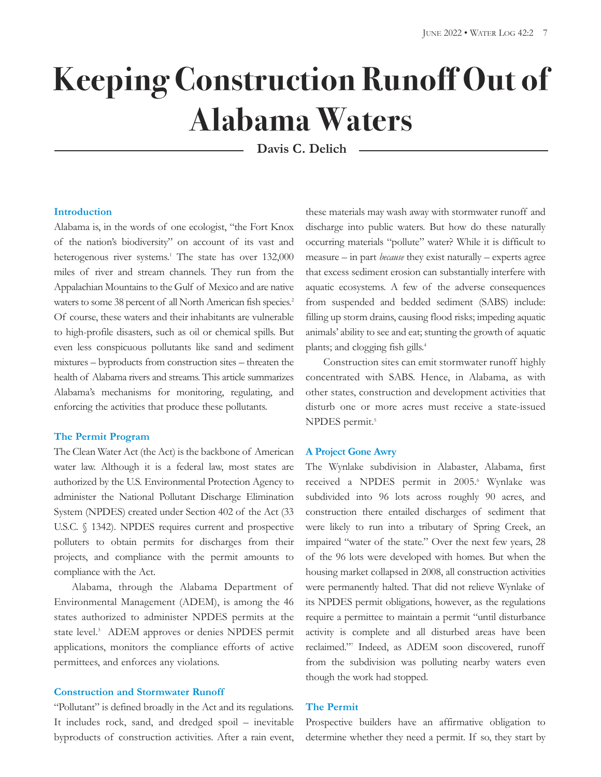# **Keeping Construction Runoff Out of Alabama Waters**

**Davis C. Delich**

### **Introduction**

Alabama is, in the words of one ecologist, "the Fort Knox of the nation's biodiversity" on account of its vast and heterogenous river systems. <sup>1</sup> The state has over 132,000 miles of river and stream channels. They run from the Appalachian Mountains to the Gulf of Mexico and are native waters to some 38 percent of all North American fish species.<sup>2</sup> Of course, these waters and their inhabitants are vulnerable to high-profile disasters, such as oil or chemical spills. But even less conspicuous pollutants like sand and sediment mixtures – byproducts from construction sites – threaten the health of Alabama rivers and streams. This article summarizes Alabama's mechanisms for monitoring, regulating, and enforcing the activities that produce these pollutants.

## **The Permit Program**

The Clean Water Act (the Act) is the backbone of American water law. Although it is a federal law, most states are authorized by the U.S. Environmental Protection Agency to administer the National Pollutant Discharge Elimination System (NPDES) created under Section 402 of the Act (33 U.S.C. § 1342). NPDES requires current and prospective polluters to obtain permits for discharges from their projects, and compliance with the permit amounts to compliance with the Act.

Alabama, through the Alabama Department of Environmental Management (ADEM), is among the 46 states authorized to administer NPDES permits at the state level. <sup>3</sup> ADEM approves or denies NPDES permit applications, monitors the compliance efforts of active permittees, and enforces any violations.

# **Construction and Stormwater Runoff**

"Pollutant" is defined broadly in the Act and its regulations. It includes rock, sand, and dredged spoil – inevitable byproducts of construction activities. After a rain event,

these materials may wash away with stormwater runoff and discharge into public waters. But how do these naturally occurring materials "pollute" water? While it is difficult to measure – in part *because* they exist naturally – experts agree that excess sediment erosion can substantially interfere with aquatic ecosystems. A few of the adverse consequences from suspended and bedded sediment (SABS) include: filling up storm drains, causing flood risks; impeding aquatic animals' ability to see and eat; stunting the growth of aquatic plants; and clogging fish gills. 4

Construction sites can emit stormwater runoff highly concentrated with SABS. Hence, in Alabama, as with other states, construction and development activities that disturb one or more acres must receive a state-issued NPDES permit. 5

#### **A Project Gone Awry**

The Wynlake subdivision in Alabaster, Alabama, first received a NPDES permit in 2005. <sup>6</sup> Wynlake was subdivided into 96 lots across roughly 90 acres, and construction there entailed discharges of sediment that were likely to run into a tributary of Spring Creek, an impaired "water of the state." Over the next few years, 28 of the 96 lots were developed with homes. But when the housing market collapsed in 2008, all construction activities were permanently halted. That did not relieve Wynlake of its NPDES permit obligations, however, as the regulations require a permittee to maintain a permit "until disturbance activity is complete and all disturbed areas have been reclaimed."7 Indeed, as ADEM soon discovered, runoff from the subdivision was polluting nearby waters even though the work had stopped.

# **The Permit**

Prospective builders have an affirmative obligation to determine whether they need a permit. If so, they start by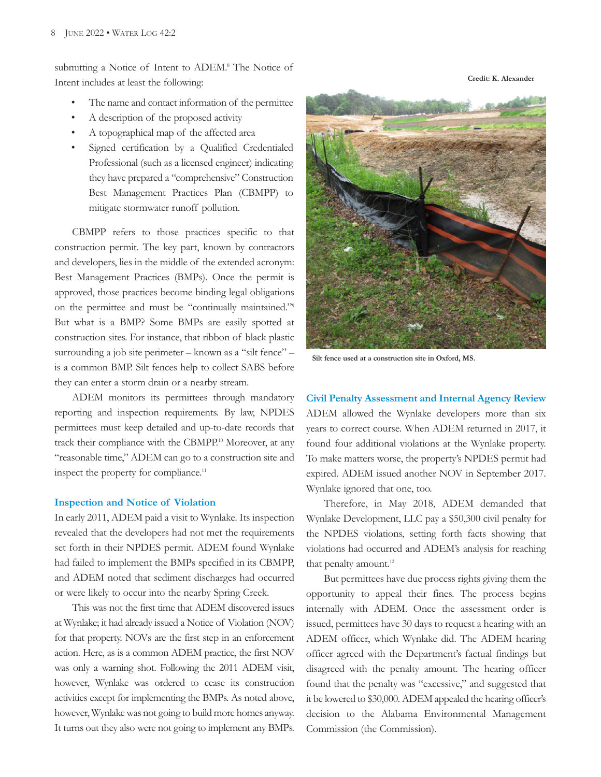submitting a Notice of Intent to ADEM.<sup>8</sup> The Notice of Intent includes at least the following:

- The name and contact information of the permittee
- A description of the proposed activity
- A topographical map of the affected area
- Signed certification by a Qualified Credentialed Professional (such as a licensed engineer) indicating they have prepared a "comprehensive" Construction Best Management Practices Plan (CBMPP) to mitigate stormwater runoff pollution.

CBMPP refers to those practices specific to that construction permit. The key part, known by contractors and developers, lies in the middle of the extended acronym: Best Management Practices (BMPs). Once the permit is approved, those practices become binding legal obligations on the permittee and must be "continually maintained."9 But what is a BMP? Some BMPs are easily spotted at construction sites. For instance, that ribbon of black plastic surrounding a job site perimeter – known as a "silt fence" – is a common BMP. Silt fences help to collect SABS before they can enter a storm drain or a nearby stream.

ADEM monitors its permittees through mandatory reporting and inspection requirements. By law, NPDES permittees must keep detailed and up-to-date records that track their compliance with the CBMPP.<sup>10</sup> Moreover, at any "reasonable time," ADEM can go to a construction site and inspect the property for compliance. 11

#### **Inspection and Notice of Violation**

In early 2011, ADEM paid a visit to Wynlake. Its inspection revealed that the developers had not met the requirements set forth in their NPDES permit. ADEM found Wynlake had failed to implement the BMPs specified in its CBMPP, and ADEM noted that sediment discharges had occurred or were likely to occur into the nearby Spring Creek.

This was not the first time that ADEM discovered issues at Wynlake; it had already issued a Notice of Violation (NOV) for that property. NOVs are the first step in an enforcement action. Here, as is a common ADEM practice, the first NOV was only a warning shot. Following the 2011 ADEM visit, however, Wynlake was ordered to cease its construction activities except for implementing the BMPs. As noted above, however, Wynlake was not going to build more homes anyway. It turns out they also were not going to implement any BMPs.



**Silt fence used at a construction site in Oxford, MS.**

**Civil Penalty Assessment and Internal Agency Review** ADEM allowed the Wynlake developers more than six years to correct course. When ADEM returned in 2017, it found four additional violations at the Wynlake property. To make matters worse, the property's NPDES permit had expired. ADEM issued another NOV in September 2017. Wynlake ignored that one, too.

Therefore, in May 2018, ADEM demanded that Wynlake Development, LLC pay a \$50,300 civil penalty for the NPDES violations, setting forth facts showing that violations had occurred and ADEM's analysis for reaching that penalty amount.<sup>12</sup>

But permittees have due process rights giving them the opportunity to appeal their fines. The process begins internally with ADEM. Once the assessment order is issued, permittees have 30 days to request a hearing with an ADEM officer, which Wynlake did. The ADEM hearing officer agreed with the Department's factual findings but disagreed with the penalty amount. The hearing officer found that the penalty was "excessive," and suggested that it be lowered to \$30,000.ADEM appealed the hearing officer's decision to the Alabama Environmental Management Commission (the Commission).

**Credit: K. Alexander**